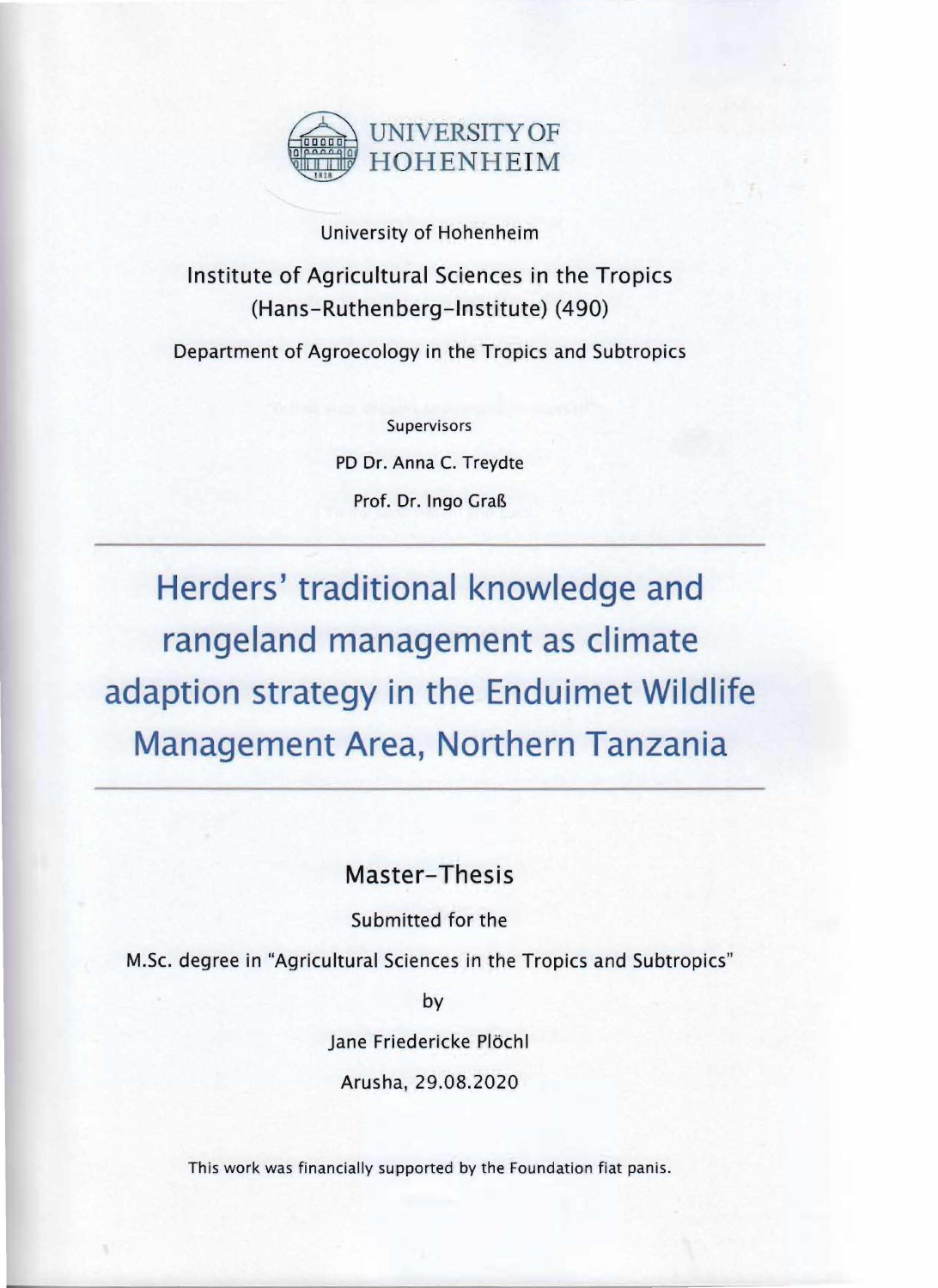

## University of Hohenheim

## Institute of Agricultural Sciences in the Tropics (Hans-Ruthenberg-Institute) (490)

Department of Agroecology in the Tropics and Subtropics

Supervisors PD Dr. Anna C. Treydte Prof. Dr. Ingo Graß

**Herders' traditional knowledge and rangeland management as climate adaption strategy in the Enduimet Wildlife Management Area, Northern Tanzania** 

Master-Thesis

Submitted for the

M.Sc. degree in "Agricultural Sciences in the Tropics and Subtropics"

by

Jane Friedericke Plöchl

Arusha, 29.08.2020

This work was financially supported by the Foundation fiat panis.